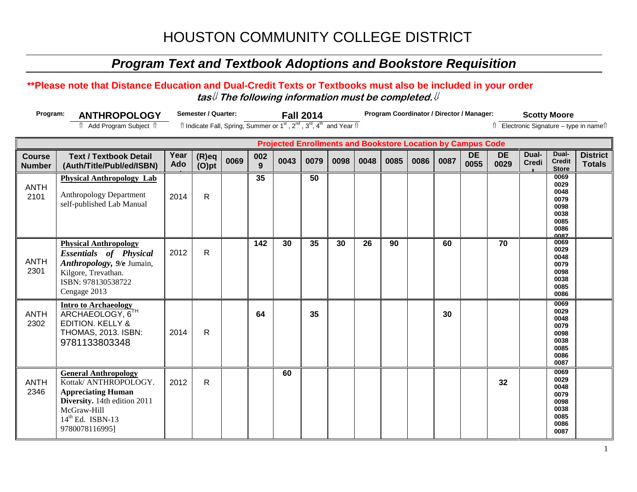## *Program Text and Textbook Adoptions and Bookstore Requisition*

### **\*\*Please note that Distance Education and Dual-Credit Texts or Textbooks must also be included in your order tas**⇓ **The following information must be completed.**⇓

**60**

ANTH 2302

ANTH 2346

**Intro to Archaeology**  ARCHAEOLOGY, 6<sup>T</sup> EDITION. KELLY & THOMAS, 2013. ISBN: 9781133803348

**General Anthropology** Kottak/ ANTHROPOLOGY. **Appreciating Human Diversity.** 14th edition 2011

McGraw-Hill  $14<sup>th</sup>$  Ed. ISBN-13 9780078116995]

2014 R

2012 R

| Program:<br><b>ANTHROPOLOGY</b><br><b>। Add Program Subject । ।</b> |                                                                                                                                                                |             | Semester / Quarter:<br><b>Fall 2014</b><br>î Indicate Fall, Spring, Summer or 1 <sup>st</sup> , 2 <sup>nd</sup> , 3 <sup>rd</sup> , 4 <sup>th</sup> and Year î |      |          |      |      |      | Program Coordinator / Director / Manager: |      |      |      |                   |                   |                       | <b>Scotty Moore</b><br>î Electronic Signature – type in nameîi              |                                  |  |
|---------------------------------------------------------------------|----------------------------------------------------------------------------------------------------------------------------------------------------------------|-------------|----------------------------------------------------------------------------------------------------------------------------------------------------------------|------|----------|------|------|------|-------------------------------------------|------|------|------|-------------------|-------------------|-----------------------|-----------------------------------------------------------------------------|----------------------------------|--|
| <b>Projected Enrollments and Bookstore Location by Campus Code</b>  |                                                                                                                                                                |             |                                                                                                                                                                |      |          |      |      |      |                                           |      |      |      |                   |                   |                       |                                                                             |                                  |  |
| <b>Course</b><br><b>Number</b>                                      | <b>Text / Textbook Detail</b><br>(Auth/Title/Publ/ed/ISBN)                                                                                                     | Year<br>Ado | $(R)$ eq<br>$(O)$ pt                                                                                                                                           | 0069 | 002<br>9 | 0043 | 0079 | 0098 | 0048                                      | 0085 | 0086 | 0087 | <b>DE</b><br>0055 | <b>DE</b><br>0029 | Dual-<br><b>Credi</b> | Dual-<br><b>Credit</b><br><b>Store</b>                                      | <b>District</b><br><b>Totals</b> |  |
| <b>ANTH</b><br>2101                                                 | <b>Physical Anthropology Lab</b><br><b>Anthropology Department</b><br>self-published Lab Manual                                                                | 2014        | R                                                                                                                                                              |      | 35       |      | 50   |      |                                           |      |      |      |                   |                   |                       | 0069<br>0029<br>0048<br>0079<br>0098<br>0038<br>0085<br>0086<br><b>0087</b> |                                  |  |
| <b>ANTH</b><br>2301                                                 | <b>Physical Anthropology</b><br><b>Essentials</b> of <b>Physical</b><br>Anthropology, 9/e Jumain,<br>Kilgore, Trevathan.<br>ISBN: 978130538722<br>Cengage 2013 | 2012        | R                                                                                                                                                              |      | 142      | 30   | 35   | 30   | 26                                        | 90   |      | 60   |                   | 70                |                       | 0069<br>0029<br>0048<br>0079<br>0098<br>0038<br>0085<br>0086                |                                  |  |

**64 35 30**

**32**